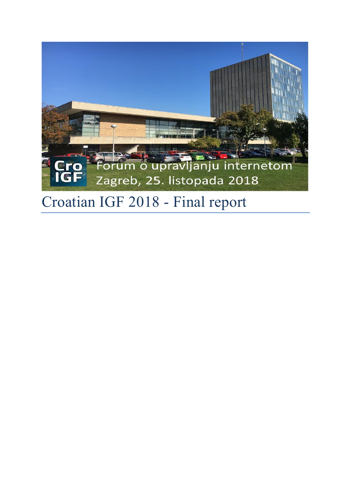

# Croatian IGF 2018 - Final report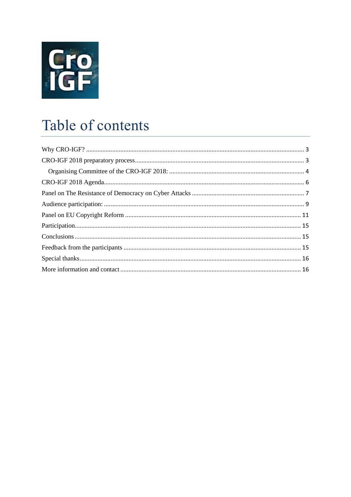

## Table of contents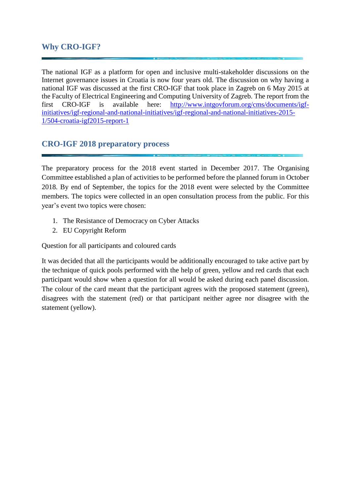## <span id="page-2-0"></span>**Why CRO-IGF?**

The national IGF as a platform for open and inclusive multi-stakeholder discussions on the Internet governance issues in Croatia is now four years old. The discussion on why having a national IGF was discussed at the first CRO-IGF that took place in Zagreb on 6 May 2015 at the Faculty of Electrical Engineering and Computing University of Zagreb. The report from the first CRO-IGF is available here: [http://www.intgovforum.org/cms/documents/igf](http://www.intgovforum.org/cms/documents/igf-initiatives/igf-regional-and-national-initiatives/igf-regional-and-national-initiatives-2015-1/504-croatia-igf2015-report-1)[initiatives/igf-regional-and-national-initiatives/igf-regional-and-national-initiatives-2015-](http://www.intgovforum.org/cms/documents/igf-initiatives/igf-regional-and-national-initiatives/igf-regional-and-national-initiatives-2015-1/504-croatia-igf2015-report-1) [1/504-croatia-igf2015-report-1](http://www.intgovforum.org/cms/documents/igf-initiatives/igf-regional-and-national-initiatives/igf-regional-and-national-initiatives-2015-1/504-croatia-igf2015-report-1)

## <span id="page-2-1"></span>**CRO-IGF 2018 preparatory process**

The preparatory process for the 2018 event started in December 2017. The Organising Committee established a plan of activities to be performed before the planned forum in October 2018. By end of September, the topics for the 2018 event were selected by the Committee members. The topics were collected in an open consultation process from the public. For this year's event two topics were chosen:

- 1. The Resistance of Democracy on Cyber Attacks
- 2. EU Copyright Reform

Question for all participants and coloured cards

It was decided that all the participants would be additionally encouraged to take active part by the technique of quick pools performed with the help of green, yellow and red cards that each participant would show when a question for all would be asked during each panel discussion. The colour of the card meant that the participant agrees with the proposed statement (green), disagrees with the statement (red) or that participant neither agree nor disagree with the statement (yellow).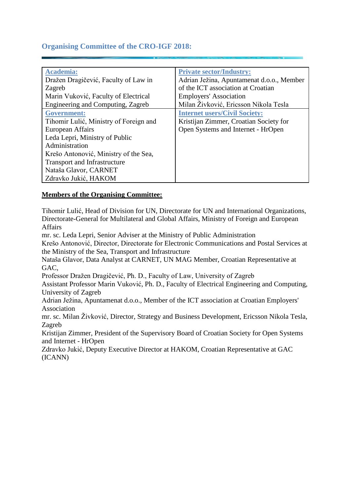## <span id="page-3-0"></span>**Organising Committee of the CRO-IGF 2018:**

| <b>Academia:</b>                       | <b>Private sector/Industry:</b>           |
|----------------------------------------|-------------------------------------------|
| Dražen Dragičević, Faculty of Law in   | Adrian Ježina, Apuntamenat d.o.o., Member |
| Zagreb                                 | of the ICT association at Croatian        |
| Marin Vuković, Faculty of Electrical   | <b>Employers' Association</b>             |
| Engineering and Computing, Zagreb      | Milan Živković, Ericsson Nikola Tesla     |
| <b>Government:</b>                     | <b>Internet users/Civil Society:</b>      |
| Tihomir Lulić, Ministry of Foreign and | Kristijan Zimmer, Croatian Society for    |
| European Affairs                       | Open Systems and Internet - HrOpen        |
| Leda Lepri, Ministry of Public         |                                           |
| Administration                         |                                           |
| Krešo Antonović, Ministry of the Sea,  |                                           |
| <b>Transport and Infrastructure</b>    |                                           |
| Nataša Glavor, CARNET                  |                                           |
| Zdravko Jukić, HAKOM                   |                                           |

#### **Members of the Organising Committee:**

Tihomir Lulić, Head of Division for UN, Directorate for UN and International Organizations, Directorate-General for Multilateral and Global Affairs, Ministry of Foreign and European **Affairs** 

mr. sc. Leda Lepri, Senior Adviser at the Ministry of Public Administration

Krešo Antonović, Director, Directorate for Electronic Communications and Postal Services at the Ministry of the Sea, Transport and Infrastructure

Nataša Glavor, Data Analyst at CARNET, UN MAG Member, Croatian Representative at GAC,

Professor Dražen Dragičević, Ph. D., Faculty of Law, University of Zagreb

Assistant Professor Marin Vuković, Ph. D., Faculty of Electrical Engineering and Computing, University of Zagreb

Adrian Ježina, Apuntamenat d.o.o., Member of the ICT association at Croatian Employers' Association

mr. sc. Milan Živković, Director, Strategy and Business Development, Ericsson Nikola Tesla, Zagreb

Kristijan Zimmer, President of the Supervisory Board of Croatian Society for Open Systems and Internet - HrOpen

Zdravko Jukić, Deputy Executive Director at HAKOM, Croatian Representative at GAC (ICANN)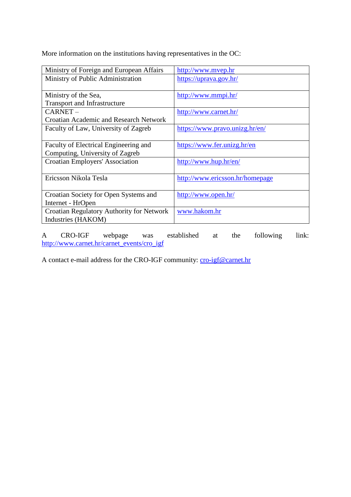More information on the institutions having representatives in the OC:

| Ministry of Foreign and European Affairs         | http://www.mvep.hr              |
|--------------------------------------------------|---------------------------------|
| Ministry of Public Administration                | https://uprava.gov.hr/          |
|                                                  |                                 |
| Ministry of the Sea,                             | http://www.mmpi.hr/             |
| <b>Transport and Infrastructure</b>              |                                 |
| CARNET-                                          | http://www.carnet.hr/           |
| <b>Croatian Academic and Research Network</b>    |                                 |
| Faculty of Law, University of Zagreb             | https://www.pravo.unizg.hr/en/  |
|                                                  |                                 |
| Faculty of Electrical Engineering and            | https://www.fer.unizg.hr/en     |
| Computing, University of Zagreb                  |                                 |
| <b>Croatian Employers' Association</b>           | http://www.hup.hr/en/           |
|                                                  |                                 |
| Ericsson Nikola Tesla                            | http://www.ericsson.hr/homepage |
|                                                  |                                 |
| Croatian Society for Open Systems and            | http://www.open.hr/             |
| Internet - HrOpen                                |                                 |
| <b>Croatian Regulatory Authority for Network</b> | www.hakom.hr                    |
| Industries (HAKOM)                               |                                 |

A CRO-IGF webpage was established at the following link: [http://www.carnet.hr/carnet\\_events/cro\\_igf](http://www.carnet.hr/carnet_events/cro_igf)

A contact e-mail address for the CRO-IGF community: [cro-igf@carnet.hr](mailto:cro-igf@carnet.hr)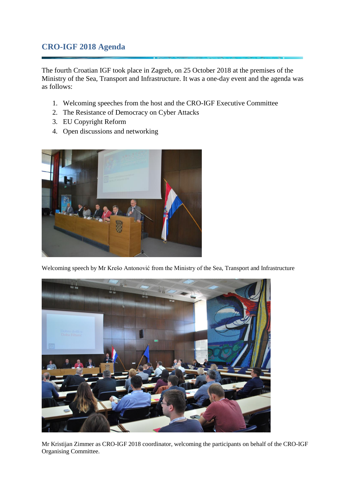## <span id="page-5-0"></span>**CRO-IGF 2018 Agenda**

The fourth Croatian IGF took place in Zagreb, on 25 October 2018 at the premises of the Ministry of the Sea, Transport and Infrastructure. It was a one-day event and the agenda was as follows:

- 1. Welcoming speeches from the host and the CRO-IGF Executive Committee
- 2. The Resistance of Democracy on Cyber Attacks
- 3. EU Copyright Reform
- 4. Open discussions and networking



Welcoming speech by Mr Krešo Antonović from the Ministry of the Sea, Transport and Infrastructure



Mr Kristijan Zimmer as CRO-IGF 2018 coordinator, welcoming the participants on behalf of the CRO-IGF Organising Committee.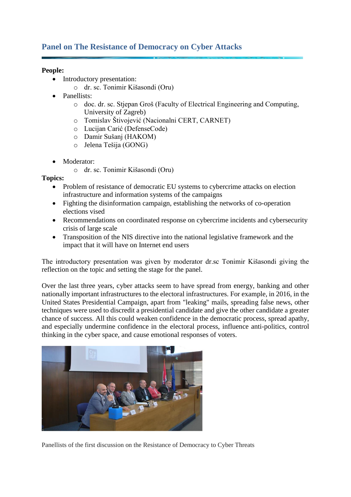## <span id="page-6-0"></span>**Panel on The Resistance of Democracy on Cyber Attacks**

#### **People:**

- Introductory presentation:
	- o dr. sc. Tonimir Kišasondi (Oru)
- Panellists:
	- o doc. dr. sc. Stjepan Groš (Faculty of Electrical Engineering and Computing, University of Zagreb)
	- o Tomislav Štivojević (Nacionalni CERT, CARNET)
	- o Lucijan Carić (DefenseCode)
	- o Damir Sušanj (HAKOM)
	- o Jelena Tešija (GONG)
- Moderator:
	- o dr. sc. Tonimir Kišasondi (Oru)

#### **Topics:**

- Problem of resistance of democratic EU systems to cybercrime attacks on election infrastructure and information systems of the campaigns
- Fighting the disinformation campaign, establishing the networks of co-operation elections vised
- Recommendations on coordinated response on cybercrime incidents and cybersecurity crisis of large scale
- Transposition of the NIS directive into the national legislative framework and the impact that it will have on Internet end users

The introductory presentation was given by moderator dr.sc Tonimir Kišasondi giving the reflection on the topic and setting the stage for the panel.

Over the last three years, cyber attacks seem to have spread from energy, banking and other nationally important infrastructures to the electoral infrastructures. For example, in 2016, in the United States Presidential Campaign, apart from "leaking" mails, spreading false news, other techniques were used to discredit a presidential candidate and give the other candidate a greater chance of success. All this could weaken confidence in the democratic process, spread apathy, and especially undermine confidence in the electoral process, influence anti-politics, control thinking in the cyber space, and cause emotional responses of voters.



Panellists of the first discussion on the Resistance of Democracy to Cyber Threats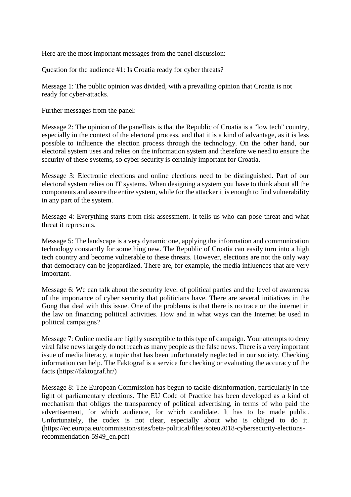Here are the most important messages from the panel discussion:

Question for the audience #1: Is Croatia ready for cyber threats?

Message 1: The public opinion was divided, with a prevailing opinion that Croatia is not ready for cyber-attacks.

Further messages from the panel:

Message 2: The opinion of the panellists is that the Republic of Croatia is a "low tech" country, especially in the context of the electoral process, and that it is a kind of advantage, as it is less possible to influence the election process through the technology. On the other hand, our electoral system uses and relies on the information system and therefore we need to ensure the security of these systems, so cyber security is certainly important for Croatia.

Message 3: Electronic elections and online elections need to be distinguished. Part of our electoral system relies on IT systems. When designing a system you have to think about all the components and assure the entire system, while for the attacker it is enough to find vulnerability in any part of the system.

Message 4: Everything starts from risk assessment. It tells us who can pose threat and what threat it represents.

Message 5: The landscape is a very dynamic one, applying the information and communication technology constantly for something new. The Republic of Croatia can easily turn into a high tech country and become vulnerable to these threats. However, elections are not the only way that democracy can be jeopardized. There are, for example, the media influences that are very important.

Message 6: We can talk about the security level of political parties and the level of awareness of the importance of cyber security that politicians have. There are several initiatives in the Gong that deal with this issue. One of the problems is that there is no trace on the internet in the law on financing political activities. How and in what ways can the Internet be used in political campaigns?

Message 7: Online media are highly susceptible to this type of campaign. Your attempts to deny viral false news largely do not reach as many people as the false news. There is a very important issue of media literacy, a topic that has been unfortunately neglected in our society. Checking information can help. The Faktograf is a service for checking or evaluating the accuracy of the facts (https://faktograf.hr/)

Message 8: The European Commission has begun to tackle disinformation, particularly in the light of parliamentary elections. The EU Code of Practice has been developed as a kind of mechanism that obliges the transparency of political advertising, in terms of who paid the advertisement, for which audience, for which candidate. It has to be made public. Unfortunately, the codex is not clear, especially about who is obliged to do it. (https://ec.europa.eu/commission/sites/beta-political/files/soteu2018-cybersecurity-electionsrecommendation-5949\_en.pdf)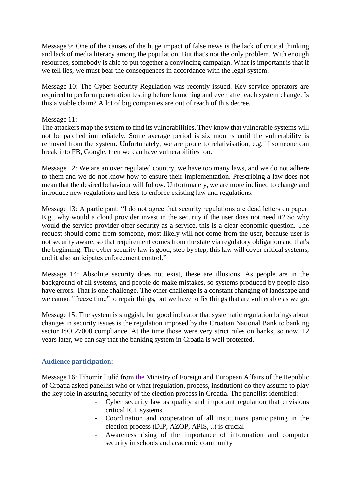Message 9: One of the causes of the huge impact of false news is the lack of critical thinking and lack of media literacy among the population. But that's not the only problem. With enough resources, somebody is able to put together a convincing campaign. What is important is that if we tell lies, we must bear the consequences in accordance with the legal system.

Message 10: The Cyber Security Regulation was recently issued. Key service operators are required to perform penetration testing before launching and even after each system change. Is this a viable claim? A lot of big companies are out of reach of this decree.

#### Message 11:

The attackers map the system to find its vulnerabilities. They know that vulnerable systems will not be patched immediately. Some average period is six months until the vulnerability is removed from the system. Unfortunately, we are prone to relativisation, e.g. if someone can break into FB, Google, then we can have vulnerabilities too.

Message 12: We are an over regulated country, we have too many laws, and we do not adhere to them and we do not know how to ensure their implementation. Prescribing a law does not mean that the desired behaviour will follow. Unfortunately, we are more inclined to change and introduce new regulations and less to enforce existing law and regulations.

Message 13: A participant: "I do not agree that security regulations are dead letters on paper. E.g., why would a cloud provider invest in the security if the user does not need it? So why would the service provider offer security as a service, this is a clear economic question. The request should come from someone, most likely will not come from the user, because user is not security aware, so that requirement comes from the state via regulatory obligation and that's the beginning. The cyber security law is good, step by step, this law will cover critical systems, and it also anticipates enforcement control."

Message 14: Absolute security does not exist, these are illusions. As people are in the background of all systems, and people do make mistakes, so systems produced by people also have errors. That is one challenge. The other challenge is a constant changing of landscape and we cannot "freeze time" to repair things, but we have to fix things that are vulnerable as we go.

Message 15: The system is sluggish, but good indicator that systematic regulation brings about changes in security issues is the regulation imposed by the Croatian National Bank to banking sector ISO 27000 compliance. At the time those were very strict rules on banks, so now, 12 years later, we can say that the banking system in Croatia is well protected.

#### <span id="page-8-0"></span>**Audience participation:**

Message 16: Tihomir Lulić from the Ministry of Foreign and European Affairs of the Republic of Croatia asked panellist who or what (regulation, process, institution) do they assume to play the key role in assuring security of the election process in Croatia. The panellist identified:<br>Cyber security law as quality and important requlation that envisi-

- Cyber security law as quality and important regulation that envisions critical ICT systems
- Coordination and cooperation of all institutions participating in the election process (DIP, AZOP, APIS, ..) is crucial
- Awareness rising of the importance of information and computer security in schools and academic community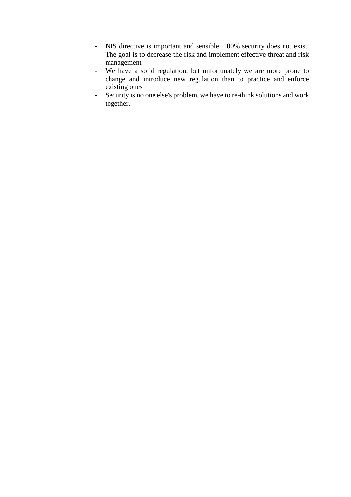- NIS directive is important and sensible. 100% security does not exist. The goal is to decrease the risk and implement effective threat and risk management
- We have a solid regulation, but unfortunately we are more prone to change and introduce new regulation than to practice and enforce existing ones
- Security is no one else's problem, we have to re-think solutions and work together.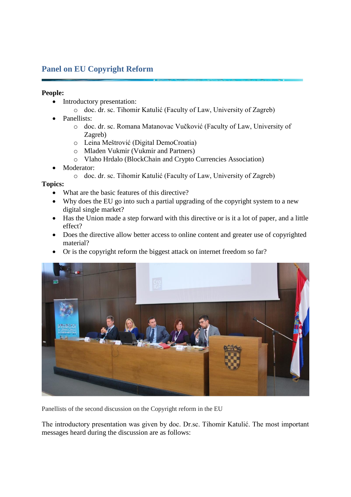## <span id="page-10-0"></span>**Panel on EU Copyright Reform**

#### **People:**

- Introductory presentation:
	- o doc. dr. sc. Tihomir Katulić (Faculty of Law, University of Zagreb)
- Panellists:
	- o doc. dr. sc. Romana Matanovac Vučković (Faculty of Law, University of Zagreb)
	- o Leina Meštrović (Digital DemoCroatia)
	- o Mladen Vukmir (Vukmir and Partners)
	- o Vlaho Hrdalo (BlockChain and Crypto Currencies Association)
- Moderator:
	- o doc. dr. sc. Tihomir Katulić (Faculty of Law, University of Zagreb)

#### **Topics:**

- What are the basic features of this directive?
- Why does the EU go into such a partial upgrading of the copyright system to a new digital single market?
- Has the Union made a step forward with this directive or is it a lot of paper, and a little effect?
- Does the directive allow better access to online content and greater use of copyrighted material?
- Or is the copyright reform the biggest attack on internet freedom so far?



Panellists of the second discussion on the Copyright reform in the EU

The introductory presentation was given by doc. Dr.sc. Tihomir Katulić. The most important messages heard during the discussion are as follows: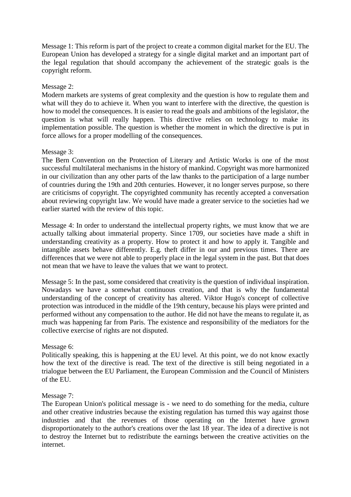Message 1: This reform is part of the project to create a common digital market for the EU. The European Union has developed a strategy for a single digital market and an important part of the legal regulation that should accompany the achievement of the strategic goals is the copyright reform.

#### Message 2:

Modern markets are systems of great complexity and the question is how to regulate them and what will they do to achieve it. When you want to interfere with the directive, the question is how to model the consequences. It is easier to read the goals and ambitions of the legislator, the question is what will really happen. This directive relies on technology to make its implementation possible. The question is whether the moment in which the directive is put in force allows for a proper modelling of the consequences.

#### Message 3:

The Bern Convention on the Protection of Literary and Artistic Works is one of the most successful multilateral mechanisms in the history of mankind. Copyright was more harmonized in our civilization than any other parts of the law thanks to the participation of a large number of countries during the 19th and 20th centuries. However, it no longer serves purpose, so there are criticisms of copyright. The copyrighted community has recently accepted a conversation about reviewing copyright law. We would have made a greater service to the societies had we earlier started with the review of this topic.

Message 4: In order to understand the intellectual property rights, we must know that we are actually talking about immaterial property. Since 1709, our societies have made a shift in understanding creativity as a property. How to protect it and how to apply it. Tangible and intangible assets behave differently. E.g. theft differ in our and previous times. There are differences that we were not able to properly place in the legal system in the past. But that does not mean that we have to leave the values that we want to protect.

Message 5: In the past, some considered that creativity is the question of individual inspiration. Nowadays we have a somewhat continuous creation, and that is why the fundamental understanding of the concept of creativity has altered. Viktor Hugo's concept of collective protection was introduced in the middle of the 19th century, because his plays were printed and performed without any compensation to the author. He did not have the means to regulate it, as much was happening far from Paris. The existence and responsibility of the mediators for the collective exercise of rights are not disputed.

#### Message 6:

Politically speaking, this is happening at the EU level. At this point, we do not know exactly how the text of the directive is read. The text of the directive is still being negotiated in a trialogue between the EU Parliament, the European Commission and the Council of Ministers of the EU.

#### Message 7:

The European Union's political message is - we need to do something for the media, culture and other creative industries because the existing regulation has turned this way against those industries and that the revenues of those operating on the Internet have grown disproportionately to the author's creations over the last 18 year. The idea of a directive is not to destroy the Internet but to redistribute the earnings between the creative activities on the internet.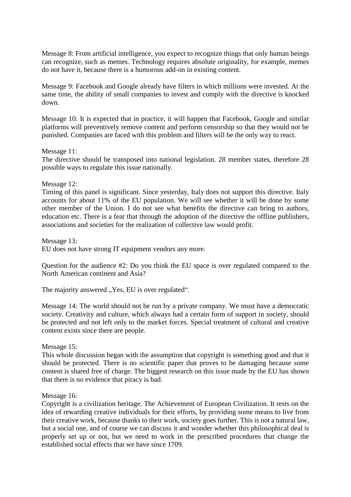Message 8: From artificial intelligence, you expect to recognize things that only human beings can recognize, such as memes. Technology requires absolute originality, for example, memes do not have it, because there is a humorous add-on in existing content.

Message 9: Facebook and Google already have filters in which millions were invested. At the same time, the ability of small companies to invest and comply with the directive is knocked down.

Message 10: It is expected that in practice, it will happen that Facebook, Google and similar platforms will preventively remove content and perform censorship so that they would not be punished. Companies are faced with this problem and filters will be the only way to react.

#### Message 11:

The directive should be transposed into national legislation. 28 member states, therefore 28 possible ways to regulate this issue nationally.

#### Message 12:

Timing of this panel is significant. Since yesterday, Italy does not support this directive. Italy accounts for about 11% of the EU population. We will see whether it will be done by some other member of the Union. I do not see what benefits the directive can bring to authors, education etc. There is a fear that through the adoption of the directive the offline publishers, associations and societies for the realization of collective law would profit.

Message 13: EU does not have strong IT equipment vendors any more.

Question for the audience #2: Do you think the EU space is over regulated compared to the North American continent and Asia?

The majority answered "Yes, EU is over regulated".

Message 14: The world should not be run by a private company. We must have a democratic society. Creativity and culture, which always had a certain form of support in society, should be protected and not left only to the market forces. Special treatment of cultural and creative content exists since there are people.

#### Message 15:

This whole discussion began with the assumption that copyright is something good and that it should be protected. There is no scientific paper that proves to be damaging because some content is shared free of charge. The biggest research on this issue made by the EU has shown that there is no evidence that piracy is bad.

#### Message 16:

Copyright is a civilization heritage. The Achievement of European Civilization. It rests on the idea of rewarding creative individuals for their efforts, by providing some means to live from their creative work, because thanks to their work, society goes further. This is not a natural law, but a social one, and of course we can discuss it and wonder whether this philosophical deal is properly set up or not, but we need to work in the prescribed procedures that change the established social effects that we have since 1709.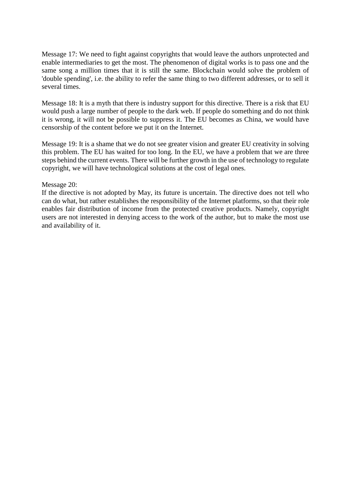Message 17: We need to fight against copyrights that would leave the authors unprotected and enable intermediaries to get the most. The phenomenon of digital works is to pass one and the same song a million times that it is still the same. Blockchain would solve the problem of 'double spending', i.e. the ability to refer the same thing to two different addresses, or to sell it several times.

Message 18: It is a myth that there is industry support for this directive. There is a risk that EU would push a large number of people to the dark web. If people do something and do not think it is wrong, it will not be possible to suppress it. The EU becomes as China, we would have censorship of the content before we put it on the Internet.

Message 19: It is a shame that we do not see greater vision and greater EU creativity in solving this problem. The EU has waited for too long. In the EU, we have a problem that we are three steps behind the current events. There will be further growth in the use of technology to regulate copyright, we will have technological solutions at the cost of legal ones.

#### Message 20:

If the directive is not adopted by May, its future is uncertain. The directive does not tell who can do what, but rather establishes the responsibility of the Internet platforms, so that their role enables fair distribution of income from the protected creative products. Namely, copyright users are not interested in denying access to the work of the author, but to make the most use and availability of it.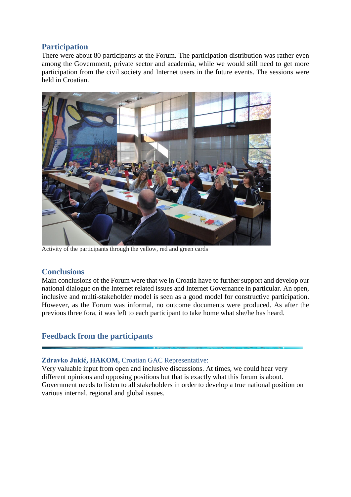## <span id="page-14-0"></span>**Participation**

There were about 80 participants at the Forum. The participation distribution was rather even among the Government, private sector and academia, while we would still need to get more participation from the civil society and Internet users in the future events. The sessions were held in Croatian.



Activity of the participants through the yellow, red and green cards

## <span id="page-14-1"></span>**Conclusions**

Main conclusions of the Forum were that we in Croatia have to further support and develop our national dialogue on the Internet related issues and Internet Governance in particular. An open, inclusive and multi-stakeholder model is seen as a good model for constructive participation. However, as the Forum was informal, no outcome documents were produced. As after the previous three fora, it was left to each participant to take home what she/he has heard.

## <span id="page-14-2"></span>**Feedback from the participants**

#### **Zdravko Jukić, HAKOM,** Croatian GAC Representative:

Very valuable input from open and inclusive discussions. At times, we could hear very different opinions and opposing positions but that is exactly what this forum is about. Government needs to listen to all stakeholders in order to develop a true national position on various internal, regional and global issues.